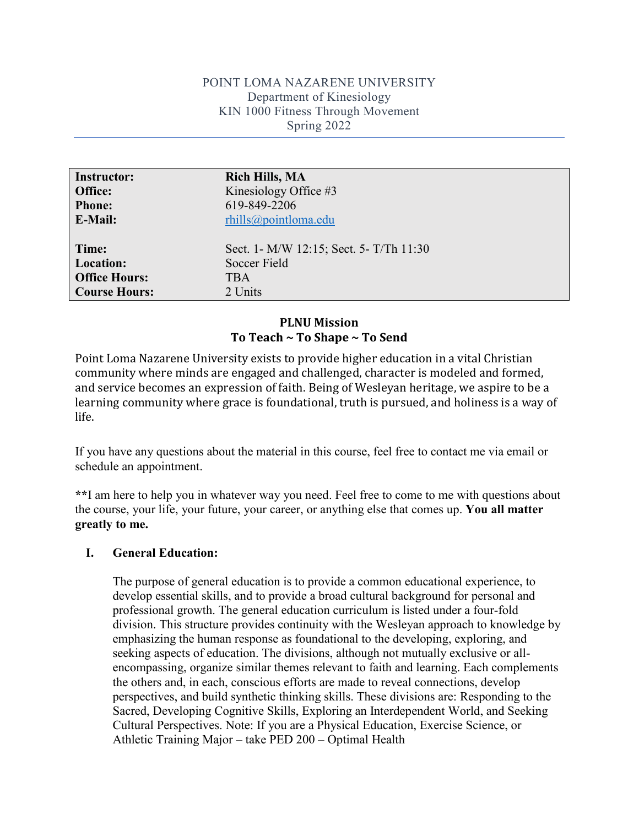### POINT LOMA NAZARENE UNIVERSITY Department of Kinesiology KIN 1000 Fitness Through Movement Spring 2022

| <b>Instructor:</b>   | <b>Rich Hills, MA</b>                   |
|----------------------|-----------------------------------------|
| Office:              | Kinesiology Office $#3$                 |
| <b>Phone:</b>        | 619-849-2206                            |
| <b>E-Mail:</b>       | $r\text{hills@pointloma.edu}$           |
| Time:                | Sect. 1- M/W 12:15; Sect. 5- T/Th 11:30 |
| <b>Location:</b>     | Soccer Field                            |
| <b>Office Hours:</b> | <b>TBA</b>                              |
| <b>Course Hours:</b> | 2 Units                                 |

## **PLNU Mission To Teach ~ To Shape ~ To Send**

Point Loma Nazarene University exists to provide higher education in a vital Christian community where minds are engaged and challenged, character is modeled and formed, and service becomes an expression of faith. Being of Wesleyan heritage, we aspire to be a learning community where grace is foundational, truth is pursued, and holiness is a way of life.

If you have any questions about the material in this course, feel free to contact me via email or schedule an appointment.

**\*\***I am here to help you in whatever way you need. Feel free to come to me with questions about the course, your life, your future, your career, or anything else that comes up. **You all matter greatly to me.**

#### **I. General Education:**

The purpose of general education is to provide a common educational experience, to develop essential skills, and to provide a broad cultural background for personal and professional growth. The general education curriculum is listed under a four-fold division. This structure provides continuity with the Wesleyan approach to knowledge by emphasizing the human response as foundational to the developing, exploring, and seeking aspects of education. The divisions, although not mutually exclusive or allencompassing, organize similar themes relevant to faith and learning. Each complements the others and, in each, conscious efforts are made to reveal connections, develop perspectives, and build synthetic thinking skills. These divisions are: Responding to the Sacred, Developing Cognitive Skills, Exploring an Interdependent World, and Seeking Cultural Perspectives. Note: If you are a Physical Education, Exercise Science, or Athletic Training Major – take PED 200 – Optimal Health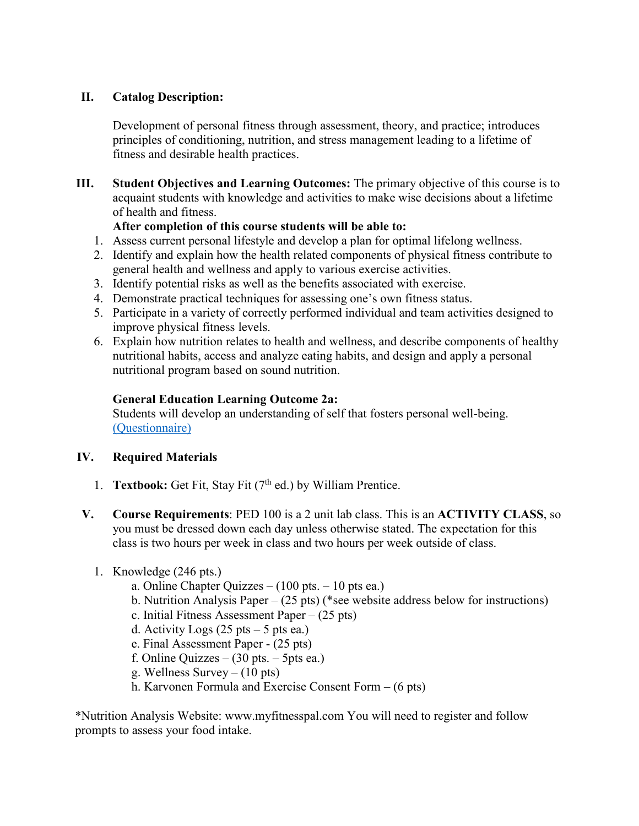# **II. Catalog Description:**

Development of personal fitness through assessment, theory, and practice; introduces principles of conditioning, nutrition, and stress management leading to a lifetime of fitness and desirable health practices.

**III. Student Objectives and Learning Outcomes:** The primary objective of this course is to acquaint students with knowledge and activities to make wise decisions about a lifetime of health and fitness.

# **After completion of this course students will be able to:**

- 1. Assess current personal lifestyle and develop a plan for optimal lifelong wellness.
- 2. Identify and explain how the health related components of physical fitness contribute to general health and wellness and apply to various exercise activities.
- 3. Identify potential risks as well as the benefits associated with exercise.
- 4. Demonstrate practical techniques for assessing one's own fitness status.
- 5. Participate in a variety of correctly performed individual and team activities designed to improve physical fitness levels.
- 6. Explain how nutrition relates to health and wellness, and describe components of healthy nutritional habits, access and analyze eating habits, and design and apply a personal nutritional program based on sound nutrition.

# **General Education Learning Outcome 2a:**

Students will develop an understanding of self that fosters personal well-being. [\(Questionnaire\)](https://goo.gl/forms/Wm3vuhIFKUrJzTPr1)

## **IV. Required Materials**

- 1. **Textbook:** Get Fit, Stay Fit (7<sup>th</sup> ed.) by William Prentice.
- **V. Course Requirements**: PED 100 is a 2 unit lab class. This is an **ACTIVITY CLASS**, so you must be dressed down each day unless otherwise stated. The expectation for this class is two hours per week in class and two hours per week outside of class.

## 1. Knowledge (246 pts.)

- a. Online Chapter Quizzes  $(100 \text{ pts.} 10 \text{ pts.})$
- b. Nutrition Analysis Paper (25 pts) (\*see website address below for instructions)
- c. Initial Fitness Assessment Paper (25 pts)
- d. Activity Logs  $(25 \text{ pts} 5 \text{ pts} \text{ ea.})$
- e. Final Assessment Paper (25 pts)
- f. Online Quizzes  $(30 \text{ pts.} 5 \text{ pts.})$
- g. Wellness Survey (10 pts)
- h. Karvonen Formula and Exercise Consent Form (6 pts)

\*Nutrition Analysis Website: www.myfitnesspal.com You will need to register and follow prompts to assess your food intake.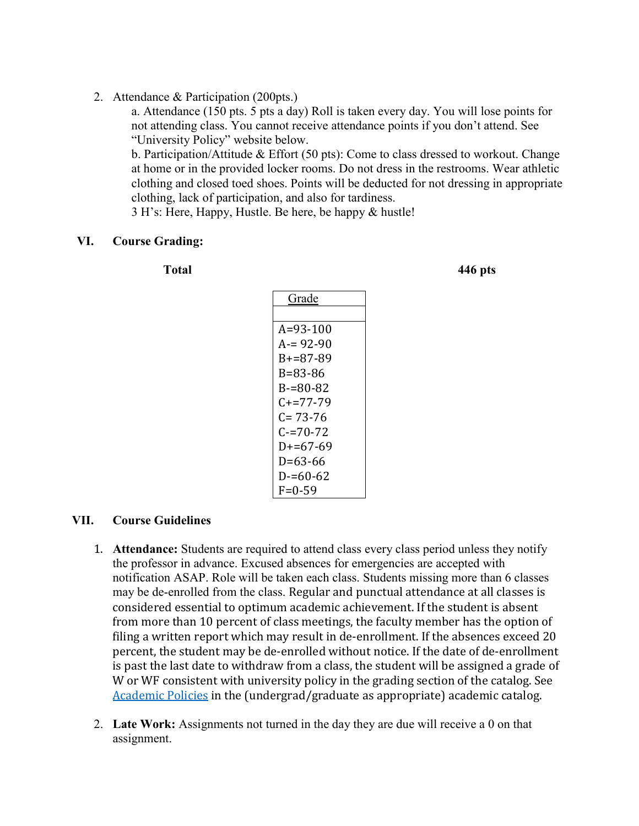2. Attendance & Participation (200pts.)

a. Attendance (150 pts. 5 pts a day) Roll is taken every day. You will lose points for not attending class. You cannot receive attendance points if you don't attend. See "University Policy" website below.

b. Participation/Attitude & Effort (50 pts): Come to class dressed to workout. Change at home or in the provided locker rooms. Do not dress in the restrooms. Wear athletic clothing and closed toed shoes. Points will be deducted for not dressing in appropriate clothing, lack of participation, and also for tardiness.

3 H's: Here, Happy, Hustle. Be here, be happy & hustle!

#### **VI. Course Grading:**

**Total 446 pts**

| Grade          |
|----------------|
|                |
| $A = 93 - 100$ |
| $A = 92-90$    |
| $B+=87-89$     |
| R=83-86        |
| $B = 80 - 82$  |
| C+=77-79       |
| $C = 73 - 76$  |
| $C = 70 - 72$  |
| $D+=67-69$     |
| D=63-66        |
| D-=60-62       |
| $F = 0 - 59$   |

#### **VII. Course Guidelines**

- 1. **Attendance:** Students are required to attend class every class period unless they notify the professor in advance. Excused absences for emergencies are accepted with notification ASAP. Role will be taken each class. Students missing more than 6 classes may be de-enrolled from the class. Regular and punctual attendance at all classes is considered essential to optimum academic achievement. If the student is absent from more than 10 percent of class meetings, the faculty member has the option of filing a written report which may result in de-enrollment. If the absences exceed 20 percent, the student may be de-enrolled without notice. If the date of de-enrollment is past the last date to withdraw from a class, the student will be assigned a grade of W or WF consistent with university policy in the grading section of the catalog. See [Academic Policies](http://www.pointloma.edu/experience/academics/catalogs/undergraduate-catalog/point-loma-education/academic-policies) in the (undergrad/graduate as appropriate) academic catalog.
- 2. **Late Work:** Assignments not turned in the day they are due will receive a 0 on that assignment.